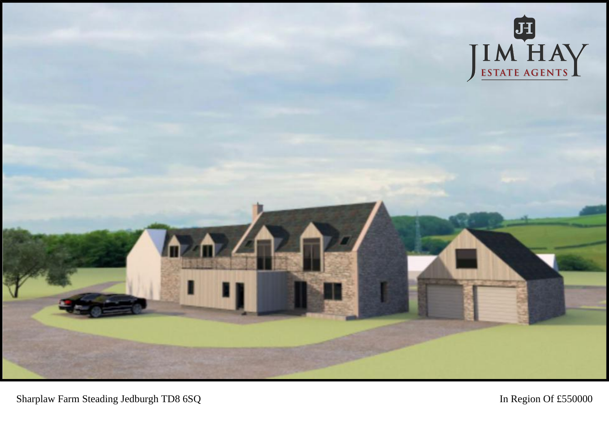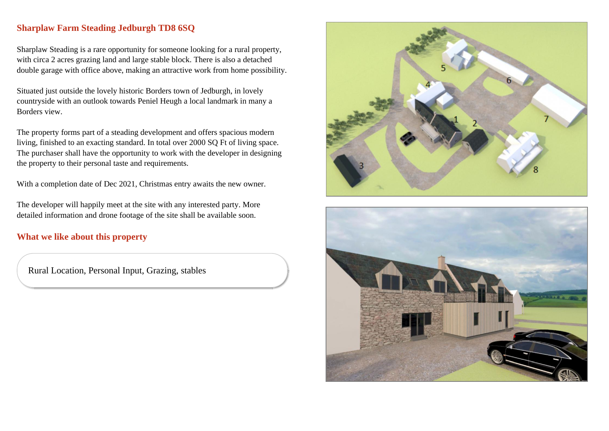## **Sharplaw Farm Steading Jedburgh TD8 6SQ**

Sharplaw Steading is a rare opportunity for someone looking for a rural property, with circa 2 acres grazing land and large stable block. There is also a detached double garage with office above, making an attractive work from home possibility.

Situated just outside the lovely historic Borders town of Jedburgh, in lovely countryside with an outlook towards Peniel Heugh a local landmark in many a Borders view.

The property forms part of a steading development and offers spacious modern living, finished to an exacting standard. In total over 2000 SQ Ft of living space. The purchaser shall have the opportunity to work with the developer in designing the property to their personal taste and requirements.

With a completion date of Dec 2021, Christmas entry awaits the new owner.

The developer will happily meet at the site with any interested party. More detailed information and drone footage of the site shall be available soon.

## **What we like about this property**

Rural Location, Personal Input, Grazing, stables



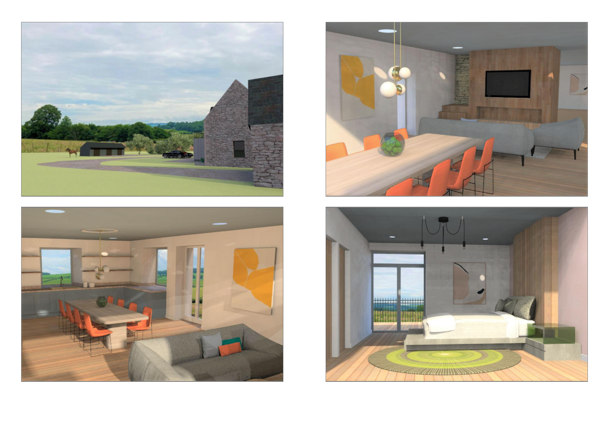